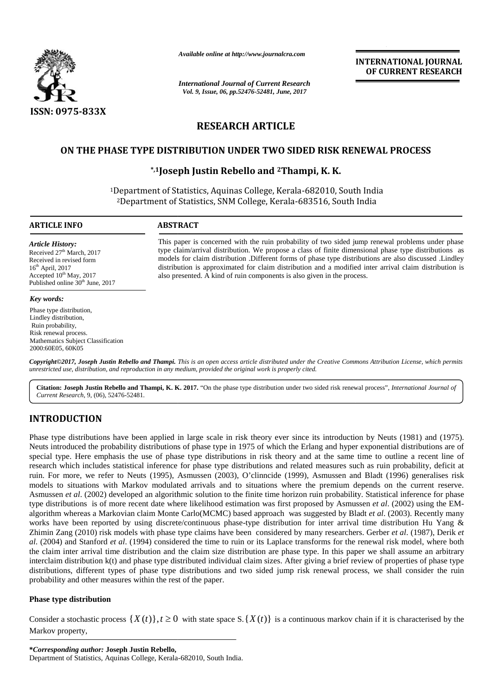

*Available online at http://www.journalcra.com*

*International Journal of Current Research Vol. 9, Issue, 06, pp.52476-52481, June, 2017*

**INTERNATIONAL JOURNAL OF CURRENT RESEARCH**

# **RESEARCH ARTICLE**

# **ON THE PHASE TYPE DISTRIBUTION UNDER TWO SIDED RISK RENEWAL PROCESS**

# **\*,1Joseph Justin Rebello and <sup>2</sup>Thampi, K. K. and**

<sup>1</sup>Department of Statistics, Aquinas College, Kerala-682010, South India <sup>2</sup>Department of Statistics, SNM College, Kerala-683516, South India

also presented. A kind of ruin components is also given in the process.

This paper is concerned with the ruin probability of two sided jump renewal problems under phase type claim/arrival distribution. We propose a class of finite dimensional phase type distributions as This paper is concerned with the ruin probability of two sided jump renewal problems under phase type claim/arrival distribution. We propose a class of finite dimensional phase type distributions as models for claim distri

distribution is approximated for claim distribution and a modified inter arrival claim distribution is also presented. A kind of ruin components is also given in the process.

### **ARTICLE INFO ABSTRACT ARTICLE INFO**

*Article History:* Received 27<sup>th</sup> March, 2017 Received in revised form 16<sup>th</sup> April, 2017 Accepted  $10^{th}$  May, 2017 Published online 30<sup>th</sup> June, 2017

### *Key words:*

Phase type distribution, Lindley distribution, Ruin probability, Risk renewal process. Mathematics Subject Classification 2000:60E05, 60K05

**Copyright©2017, Joseph Justin Rebello and Thampi.** This is an open access article distributed under the Creative Commons Attribution License, which permits<br>unrestricted use, distribution, and reproduction in any medium, p *unrestricted use, distribution, and reproduction in any medium, provided the original work is properly cited.*

**Citation: Joseph Justin Rebello and Thampi, K. K. 2017.** "On the phase type distribution under two sided risk renewal process", *International Journal of Current Research*, 9, (06), 52476-52481.

# **INTRODUCTION INTRODUCTION**

Phase type distributions have been applied in large scale in risk theory ever since its introduction by Neuts (1981) and (1975). Neuts introduced the probability distributions of phase type in 1975 of which the Erlang and hyper exponential distributions are of special type. Here emphasis the use of phase type distributions in risk theory and at the same time to outline a recent line of research which includes statistical inference for phase type distributions and related measures such as ruin probability, deficit at ruin. For more, we refer to Neuts (1995), Asmussen (2003), O'clinncide (1999), Asmussen and Bladt (1996) generalises risk models to situations with Markov modulated arrivals and to situations where the premium depends on the current reserve. Asmussen *et al*. (2002) developed an algorithmic solution to the finite time horizon ruin probability. Statistical inference for phase type distributions is of more recent date where likelihood estimation was first proposed by Asmussen *et al*. (2002) using the EM algorithm whereas a Markovian claim Monte Carlo(MCMC) based approach was suggested by Bladt *et al*. (2003). Recently many works have been reported by using discrete/continuous phase-type distribution for inter arrival time distribution Hu Yang & Zhimin Zang (2010) risk models with phase type claims have been considered by many researchers. Gerber *et al*. (1987), Derik *et al*. (2004) and Stanford *et al*. (1994) considered the time to ruin or its Laplace transforms for the renewal risk model, where both the claim inter arrival time distribution and the claim size distribution are phase type. In this paper we shall assume an arbitrary interclaim distribution k(t) and phase type distributed individual claim sizes. After giving a brief review of properties of phase type distributions, different types of phase type distributions and two sided jump risk renewal process, we shall consider the ruin probability and other measures within the rest of the paper. **Currien: Jaceph Justin Rehello and Thampi, K. K. 2017.** "On the phase type distribution under two sided risk crosses?", *husenonical Justinal of Gurren Research*,  $\theta$ , 000, 52/05/2518.)<br> **INTRODUCTION**<br> **CONSIDENT CONSI** Phase type distributions have been applied in large scale in risk theory ever since its introduction by Neuts (1981) and (1975).<br>Neuts introduced the probability distributions of phase type in 1975 of which the Erlang and models to situations with Markov modulated arrivals and to situations where the premium depends on the Asmussen *et al.* (2002) developed an algorithmic solution to the finite time horizon ruin probability. Statistical in algorithm whereas a Markovian claim Monte Carlo(MCMC) based approach was suggested by Bladt *et al.* (2003). Recently many works have been reported by using discrete/continuous phase-type distribution for inter arrival tim Annual control and proposition of the state and one of the state of the state of the state of the state of the state of the state of the state of the state of the state of the state of the state of the state of the state situations with Markov modulated arrivals and to situations where the premiur *et al.* (2002) developed an algorithmic solution to the finite time horizon ruin probal<br>utions is of more recent date where likelihood estimat mpi, **K. K. 2017.** "On the phase type distribution under two sided risk renewal process", *International Journal*<br>applied in large scale in risk theory ever since its introduction by Neuts (1981) and (19<br>applied in large

### **Phase type distribution Phase**

Markov property,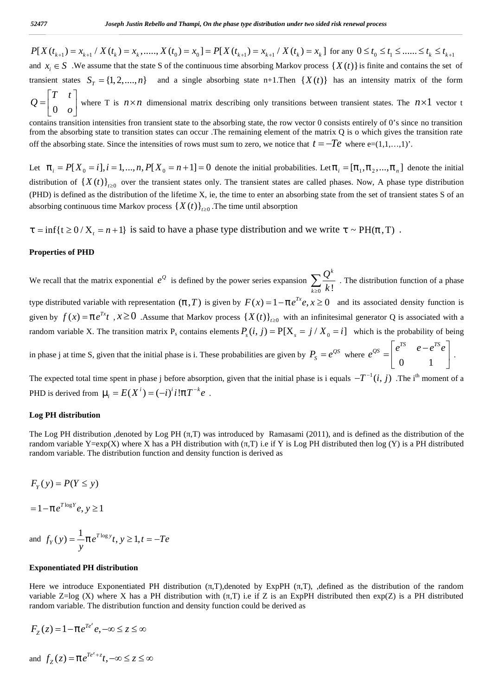52477 Joseph Justin Rebello and Thampi, On the phase type distribution under two sided risk renewal process<br>  $P[X(t_{k+1}) = x_{k+1} / X(t_k) = x_k,......, X(t_0) = x_0] = P[X(t_{k+1}) = x_{k+1} / X(t_k) = x_k]$  for any  $0 \le t_0 \le t_1 \le ...... \le t_k \le t_{k+1}$ <br>
and  $x_i \in S$ S2477 Joseph Justin Rebello and Thampi, On the phase type distribution under two sided risk renewal process<br>  $P[X(t_{k+1}) = x_{k+1} / X(t_k) = x_k, \ldots, X(t_0) = x_0] = P[X(t_{k+1}) = x_{k+1} / X(t_k) = x_k]$  for any  $0 \le t_0 \le t_1 \le \ldots, \le t_k \le t_{k+1}$ <br>
and 52477 Joseph Justin Rebello and Thampi, On the phase type distribution under two sided risk renewal process<br>  $P[X (I_{k+1}) = X_{k+1} / X (I_k) = X_k, ..., X (I_0) = X_0] = P[X (I_{k+1}) = X_{k+1} / X (I_k) = X_k]$  for any  $0 \le I_0 \le I_1 \le ... \le I_k \le I_{k+1}$ <br>
and  $x$ *Joseph Justin Rebe*<br>  $t_{k+1}$  =  $x_{k+1}$  /  $X$  ( $t_k$ ) =  $x_k$ ,.....<br>  $\in S$  We assume that the state<br>  $T$  states  $S_T = \{1, 2, ..., n\}$ <br>  $T$   $t$   $0$   $0$  where  $T$  is  $n \times n$  din<br>  $T$  is  $n \times n$  din<br>  $T$  is  $n \times n$  din<br>  $T$  is  $n \times n$  $Q = \begin{bmatrix} 1 & 1 \\ 0 & 0 \end{bmatrix}$  where T is  $n \times n$  dimensional matrix describing on Joseph Justin Rebello and Thampi, On the phase type distribution under two sided risk renewal process<br>  $X(t_{k+1}) = x_{k+1} / X(t_k) = x_k,......, X(t_0) = x_0] = P[X(t_{k+1}) = x_{k+1} / X(t_k) = x_k]$  for any  $0 \le t_0 \le t$ <br>  $x_i \in S$ . We assume that the state Joseph Justin Rebello and Thampi, On the phase type distribution under two sided risk renewal process<br>  $\kappa_{k+1}/X(t_k) = x_k, \ldots, X(t_0) = x_0] = P[X(t_{k+1}) = x_{k+1}/X(t_k) = x_k]$  for any  $0 \le t_0 \le t_1 \le \ldots, \le t_k \le t_{k+1}$ <br>
ie assume that the s

 $0 \quad o$ *o* |  $\overline{\phantom{a}}$  |  $\overline{\phantom{a}}$  |  $\overline{\phantom{a}}$  |  $\overline{\phantom{a}}$  |  $\overline{\phantom{a}}$  |  $\overline{\phantom{a}}$  |  $\overline{\phantom{a}}$  |  $\overline{\phantom{a}}$  |  $\overline{\phantom{a}}$  |  $\overline{\phantom{a}}$  |  $\overline{\phantom{a}}$  |  $\overline{\phantom{a}}$  |  $\overline{\phantom{a}}$  |  $\overline{\phantom{a}}$  |  $\overline{\phantom{a}}$  |  $\overline{\phant$ contains transition intensities fron transient state to the absorbing state, the row vector 0 consists entirely of 0's since no transition from the absorbing state to transition states can occur .The remaining element of the matrix Q is o which gives the transition rate

S2477<br>
Joseph Justin Rebello and Thampi, On the phase type distribution under two sided risk renewal process<br>  $P[X(I_{k+1}) = X_{k+1} \mid X(I_k) = X_{k-1} \dots, X(I_0) = X_0] = P[X(I_{k+1}) = X_{k+1} \mid X(I_k) = X_k]$  for any  $0 \leq I_0 \leq I_1 \leq \dots, \leq I_k \leq I_{k+1$ S2477 *Isseph Justin Rebello and Thampt, On the phase type distribution under two sided risk renewal process*<br>  $P[X(t_{k+1}) = x_{k+1} / X(t_k) = x_k, ..., X(t_0) = x_0] = P[X(t_{k+1}) = x_{k+1} / X(t_k) = x_k]$  for any  $0 \le t_0 \le t_1 \le .... \le t_k \le t_{k+1}$ <br>
and  $x_i \in$ S2477 *Joseph Justin Rebello and Thampi, On the phase type a*<br>  $P[X(t_{k+1}) = x_{k+1} / X(t_k) = x_k, \dots, X(t_0) = x_0] = P[X(t_{k+1}) =$ <br>
and  $x_i \in S$ . We assume that the state S of the continuous time absortansient states  $S_T = \{1, 2, \dots, n\}$  and distribution of  $\{X(t)\}_{t>0}$  over the transient states only. The transient states are called phases. Now, A phase type distribution (PHD) is defined as the distribution of the lifetime X, ie, the time to enter an absorbing state from the set of transient states S of an **EXALUAT:** Joseph Justin Rebello and Thampi, On the phase type distribution under two sided risk re<br>  $P[X(t_{k+1}) = x_{k+1} / X(t_k) = x_k, \ldots, X(t_0) = x_0] = P[X(t_{k+1}) = x_{k+1} / X(t_k) = x_k]$  for an<br>
and  $x_i \in S$ . We assume that the state S of the absorbing continuous time Markov process  $\{X(t)\}_{t\geq0}$ . The time until absorption **S2477**<br> **i**ngula Jackin Robella and Thampi, On the phase type distribution under two sided risk renewal process<br>  $P[X(t_{k+1}) = x_{k+1} \mid X(t_k) = x_k, ..., X(t_0) = x_0] = P[X(t_{k+1}) = x_{k+1} \mid X(t_k) = x_k]$  for any  $0 \le t_0 \le t_1 \le .... \le t_k \le t_{k+1}$ <br>
and

We recall that the matrix exponential  $e^Q$  is defined by the power series expansion  $\sum_{i=1}^{\infty}$  $\frac{1}{0}$  k! *k*  $k \geq 0$  **K** :  $\sum_{k\geq 0} \frac{Q^k}{k!}$ . The distribution function of a phase  $P(X(t_{1,1}) = x_{k,1} \cdot X(t_1) = x_1, \ldots, X(t_k) = x_0] = P(X(t_{k,1}) = x_{k,1} \cdot X(t_k) = x_1]$  for any 0  $\le t_1 \le \ldots \le t_k \le t_{k,1}$ <br>
and a  $\le t_k \le x$  weaken that the stats of othe continuous time absorbing functions ( $Y(t)$ ) has an intensity matrix o transient states  $S_T = \{1, 2, ..., n\}$  and a single absorbing state n+1.Then  $\{X(t)\}$  has an intensity matrix  $Q = \begin{bmatrix} T & t \\ 0 & 0 \end{bmatrix}$  where T is  $n \times n$  dimensional matrix describing only transitions between transient states. given by  $f(x) = fe^{Tx}t$ ,  $x \ge 0$ . Assume that Markov process  $\{X(t)\}_{t\ge 0}$  with an infinitesimal generator Q is associated with a random variable X<sub>r</sub> =  $(1, 2,...,n)$  and a single absorbing state n-1.Then  $(X(t))$  has an intensity matrix of the form<br>  $Q = \begin{bmatrix} T & t \\ 0 & 0 \end{bmatrix}$  where T is  $n \times n$  dimensional matrix describing only transitions between transi L<sup>1</sup> to <sup>2</sup><sub>3</sub> in the sixted in the sixted from transient state to the absorbing state, the row vector 0 consists entirely of 0's since no transition for the absorbing state. Off the absorbing state. Since the initial p 0 1 function of a phase<br>density function is<br>is associated with a<br>probability of being<br> $\begin{bmatrix}^{TS} & e - e^{TS}e \\ 0 & 1 \end{bmatrix}$ .<br>The i<sup>th</sup> moment of a by of 0's since no transition<br>ich gives the transition rate<br> $=(1,1,...,1)$ '.<br> $_2,...,f_n$ ] denote the initial<br> $(A, A)$  phase type distribution<br>et of transient states S of an<br> $(f, T)$ .<br>ribution function of a phase<br>sociated density fun The  $n \times 1$  vector t<br>  $n \times 1$  vector t<br>  $\ldots$ , 1)'.<br>  $f_n$ ] denote the initial<br>
hase type distribution<br>
ransient states S of an<br>  $\ldots$ <br>
).<br>
).<br>
on function of a phase<br>
ed density function is<br>
Q is associated with a<br>
e prob tes. The  $n \times 1$  vector t<br>
f 0's since no transition<br>
gives the transition rate<br>
1,....,1)'.<br>
..., $f_n$ ] denote the initial<br>
phase type distribution<br>
of transient states S of an<br>
T ).<br>
T ).<br>
T ).<br>
tution function of a phas For the expected total time spent in event in the spent in the initial phase is  $T$  is  $\sqrt{t}$  and  $\sqrt{t}$  and  $\sqrt{t}$  and  $\sqrt{t}$  and  $\sqrt{t}$  and  $\sqrt{t}$  and  $\sqrt{t}$  and  $\sqrt{t}$  and  $\sqrt{t}$  and  $\sqrt{t}$  and  $\sqrt{t}$  and  $\$ off the absorbing state. Since the intensities of rows must sum to zero, we notice that  $I = -Te$  where  $e = (1, 1, ..., 1)$ .<br>Let  $f_j = P[X_0 = 1, i = 1, ..., n, P[X_0 = n + 1] = 0$  denote the initial probabilities. Let  $f_j = [f_1, f_2, ..., f_n]$  denote t *I* = inf $f(z)$  *C* / *X*, = *n* + I } is said to have a phase type distribution and we write  $1$  ~ PH(*f*, T)<br>
Properties of PHD<br>
We recall that the matrix exponential  $e^Q$  is defined by the power series expansion  $\sum_{k$ **Example 11** The matrix exponential  $e^Q$  is defined by the power series expansion  $\sum_{k \ge 0} \frac{Q^k}{k!}$ . The distribution for the matrix exponential  $e^Q$  is defined by the power series expansion  $\sum_{k \ge 0} \frac{Q^k}{k!}$ . T istributed variable with representation  $(f, T)$  is given b<br>by  $f(x) = fe^{Tx}t$ ,  $x \ge 0$ . Assume that Markov proces<br>m variable X. The transition matrix  $P_s$  contains element<br>se j at time S, given that the initial phase is i. The distributed variable with representation  $(f, T)$  is given by  $F(x) = 1 - f e^{Tx}$ <br> *by*  $f(x) = fe^{Tx}t$ ,  $x \ge 0$ . Assume that Markov process  $\{X(t)\}_{i=0}$  with an<br>
m variable X. The transition matrix  $P_s$  contains elements  $P_s(i, j) = P[X$ In the matrix exponential c P Bottineo by the point states expansion  $\sum_{k=0}^{n} k!$ . The sincered invisition ( $f$ ,  $T$ ) is given by  $F(x) = -f e^{Tx}e$ ,  $x \ge 0$  and its associated which individual dentity interded in the since

 $e^{QS} = \begin{vmatrix} 1 & 1 & 1 \\ 1 & 1 & 1 \\ 0 & 1 & 1 \end{vmatrix}$ .

The Log PH distribution ,denoted by Log PH (,T) was introduced by Ramasami (2011), and is defined as the distribution of the random variable Y=exp(X) where X has a PH distribution with (T) i.e if Y is Log PH distributed then log (Y) is a PH distributed random variable. The distribution function and density function is derived as D is derived from  $\sim_i = E(X^i) = (-i)^i i$ <br> **7 PH distribution**<br>
Log PH distribution ,denoted by Log PI<br>
dom variable Y=exp(X) where X has a PI<br>
dom variable. The distribution function are<br>  $(y) = P(Y \le y)$ <br>  $-f e^{T \log Y} e, y \ge 1$ <br>  $f_Y(y) =$ *z* the expected trail time spent in phase j before absorption, given that the initial phase is i equals  $-T^{-1}(i, j)$ . The i<sup>n</sup> moment of *TD* is derived from  $\sim_j = E(X^i) = (-i)^j i! f T^{-k} e$ .<br> *Log* **PH** distribution<br> **EVE and** *T* Log PH distribution<br>
The Log PH distribution ,denoted by Log PH<br>
random variable Y=exp(X) where X has a PH<br>
random variable. The distribution function and<br>  $F_y(y) = P(Y \le y)$ <br>  $= 1 - f e^{T \log Y} e, y \ge 1$ <br>
and  $f_y(y) = \frac{1}{y} f e^{T \log y} t,$ *f f f f <i>f f <i>f f f <i>f <i>f* **<b>***<i>f <i>f <i>f <i>f <i>f <i>f <i>f* **<b>***<i>f <i>f <i>f <i>f <i>f <i>f <i>f <i>f <i>f <i>f <i>f <i>f* **tribution**<br> **tribution**<br>
distribution denoted by Log PH ( ,T) was introduced by Ramasami (2011), and is defined as the distribution of the<br>
able Y=exp(X) where X has a PH distribution with ( .T) i.e if Y is Log PH distri

$$
F_{\rm y}(y) = P(Y \le y)
$$

and 
$$
f_Y(y) = \frac{1}{y} f e^{T \log y} t, y \ge 1, t = -Te
$$

### **Exponentiated PH distribution**

Here we introduce Exponentiated PH distribution (T),denoted by ExpPH (T), defined as the distribution of the random variable  $Z = \log (X)$  where X has a PH distribution with (T) i.e if Z is an ExpPH distributed then exp(Z) is a PH distributed random variable. The distribution function and density function could be derived as *z F*  $e^{T \log y}t$ ,  $y \ge 1$ ,  $t = -Te$ <br> *Th* distribution<br> *z* Exponentiated PH dis<br> *X*) where *X* has a PH dis<br> *The* distribution function<br>  $e^{Te^{z}}e$ ,  $-\infty \le z \le \infty$ <br>  $\frac{Te^{z} + z}{t}$ ,  $-\infty \le z \le \infty$ 

$$
F_Z(z) = 1 - f e^{Te^z} e, -\infty \le z \le \infty
$$

and  $f_{\alpha}(z) = f e^{Te^{z} + z} t, -\infty \le z \le \infty$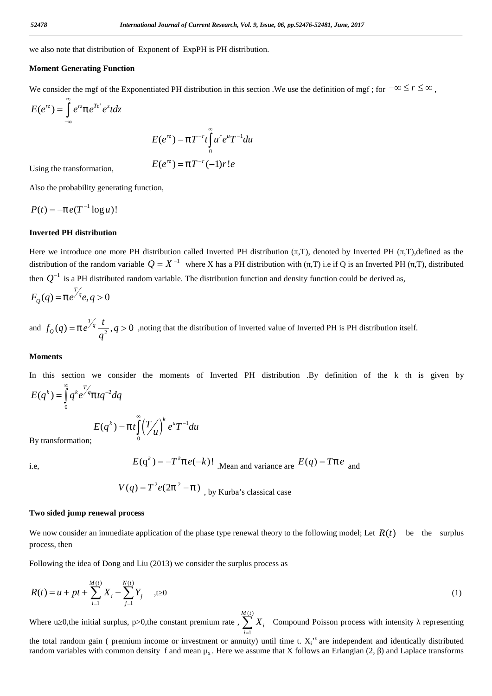we also note that distribution of Exponent of ExpPH is PH distribution.

### **Moment Generating Function**

| 52478                                                                                                                                    | International Journal of Current Research, Vol. 9, Issue, 06, pp.52476-52481, June, 2017 |
|------------------------------------------------------------------------------------------------------------------------------------------|------------------------------------------------------------------------------------------|
| we also note that distribution of Exponent of ExpPH is PH distribution.                                                                  |                                                                                          |
| Moment Generating Function                                                                                                               |                                                                                          |
| We consider the mgf of the Exponentiated PH distribution in this section. We use the definition of mgf; for $-\infty \le r \le \infty$ , |                                                                                          |
| $E(e^{rz}) = \int_{-\infty}^{\infty} e^{rz} f e^{T e^z} e^z t dz$                                                                        |                                                                                          |
| $E(e^{rz}) = f T^{-r} f \int_{0}^{\infty} u^r e^u T^{-1} du$                                                                             |                                                                                          |
| Using the transformation,                                                                                                                |                                                                                          |
| $E(e^{rz}) = f T^{-r} (-1) r! e$                                                                                                         |                                                                                          |

and Journal of Current Research, Vol. 9, Issue, 06, pp.52476-52481, June, 2017

\nponent of ExpPH is PH distribution.

\ntiated PH distribution in this section. We use the definition of mgf; for 
$$
-\infty \le r \le \infty
$$
,

\n
$$
E(e^{rz}) = f T^{-r} t \int_0^{\infty} u^r e^u T^{-1} du
$$
\n
$$
E(e^{rz}) = f T^{-r} (-1) r! e
$$
\ntion,

Using the transformation,

Also the probability generating function,

$$
P(t) = -f e(T^{-1} \log u)!
$$

### **Inverted PH distribution**

**11** *International Journal of Current Research, Vol. 9, 18*<br>
we also note that distribution of Exponent of ExpPH is PH distribution<br>
We consider the mgf of the Exponentiated PH distribution in this section<br>  $E(e^{rz}) = \int_{-\infty$ International Journal of Current Research, Vol. 9, Issue, 06, pp.52476-52481, June, 2017<br>
0 note that distribution of Exponent of ExpPH is PH distribution.<br>
ent Generating Function<br>
smider the mgf of the Exponentiated PH Here we introduce one more PH distribution called Inverted PH distribution (,T), denoted by Inverted PH (,T),defined as the *Distribution of the random variable 1 C arrear Research, Vol. 9, Issue, 06, np.52476-52481, June, 2017*<br>
we also note that distribution of Exponent of ExpPH is PH distribution.<br>
Moment Generating Function<br>
We consider then  $Q^{-1}$  is a PH distributed random variable. The distribution function and density function could be derived as, ment Generating Function<br>
consider the mgf of the Exponentiated PH distribution in this section<br>  $e^{cz}$ ) =  $\int_{-\infty}^{\infty} e^{cz} f e^{T e^z} e^z t dz$ <br>  $E(e^{rz}) = f T^{-r} t \int_{0}^{\infty} u^r e^{u} T^{-1} du$ <br>
ng the transformation,<br>  $E(e^{rz}) = f T^{-r} (-1) r! e$ *x*e also note that distribution of Exponent of ExpPH is PH distribution.<br> **Moment Generating Function**<br> *F* ( $\mathbf{F}$ )  $\mathbf{F}$  and  $\mathbf{F}$   $\mathbf{F}$  distribution in this section .<br> *F* ( $\mathbf{F}$ ) =  $\int_{-\infty}^{\infty} e^{x} f e^{-x$ We consider the mgf of the Exponentiated PH distribution in this section .We<br>  $E(e^{rz}) = \int_{-\infty}^{\infty} e^{rz} f e^{Te^z} e^z t dz$ <br>  $E(e^{rz}) = f T^{-r} t \int_{0}^{\infty} u^r e^u T^{-1} du$ <br>
Using the transformation,<br>  $E(e^{rz}) = f T^{-r} ( -1) r! e$ <br>
Also the probabili onsider the mgf of the Exponentiated PH distribution in this section<br>  $f^z$ ) =  $\int_{-\infty}^{\infty} e^{r_f} e^{r_f} e^{r_f} dz$ <br>  $E(e^{r_c}) = f T^{-r} f \int_{0}^{\infty} u' e^u T^{-1} du$ <br>
g the transformation,<br>  $E(e^{r_c}) = f T^{-r} f^{-1} f$ <br>
the probability generating fu shown the distribution of the Exponentiated PH distribution in this section .<br>We use the definition of mgf; for  $-\infty \le r \le \infty$ ,<br>  $E(e^{c_n}) = f T^{-r} \int_0^r u' e^{u} T^{-1} du$ <br>
ansformation,  $E(e^{c_n}) = f T^{-r} (-1) r!e$ <br>
ansformation,  $e(T^{-1} \log u)!$ ing the transformation,<br>
so the probability generating functic<br>
(*t*) =  $-f e(T^{-1} \log u)!$ <br>
verted PH distribution<br>
re we introduce one more PH distribution<br>
re we introduce one more PH distribution<br>
one  $Q^{-1}$  is a PH distribu Using the transformation,<br> *E*( $e^{\pi}$ ) =  $fT^{-r}(-1)r!e$ <br>
Also the probability generating function,<br>  $P(t) = -f e(T^{-1} \log u)!$ <br> **inverted PH distribution**<br>
Here we introduce one more PH distribution called Inverted PH distribution<br> generating function,<br>
g u)!<br>
ution<br>
ne more PH distribution called Inve<br>
dom variable  $Q = X^{-1}$  where X h<br>
tributed random variable. The distribution<br>
9. 0<br>
1<br>  $\int_{q^2}$ ,  $q > 0$ , noting that the distribution<br>  $q^{-2}dq$ <br>  $(q^k$ *E* generating function,<br>  $log u$ )!<br> **bution**<br>
one more PH distribution called Inverted PH distribution ( ,T), denoted by<br>
andom variable  $Q = X^{-1}$  where X has a PH distribution with ( ,T) i.e if Q is<br>
istributed random varia  $P(t) = -f e(T^{-1} \log u)!$ <br> **Inverted PH distribution**<br>
Here we introduce one more PH distribution called Inverted PH distribution (,T), denoted by Inverted PH (,T),<br>
Here we introduce one more PH distribution called Inverted PH d erted PH distribution (,T), denoted by Inverted PH (,T), defined as the<br>has a PH distribution with (,T) i.e if Q is an Inverted PH (,T), distributed<br>bution function and density function could be derived as,<br>ion of inverte bre PH distribution called Inverted PH distribution ( .T), denoted by Inverted PH ( .T), defined as the variable  $Q = X^{-1}$  where X has a PH distribution with ( .T) i.e if Q is an Inverted PH ( .T), distributed of random va  $=-f$  r( $T^{2}$  log<sub>6</sub>n)!<br>  $=-f$  r( $T^{2}$  log<sub>6</sub>n)!<br>
nel PH distribution<br>
nel PH distribution<br>
nel III distribution called the enter RII distribution called Inverted PII distribution with (, 7), denoted by Inverted IPI (, 7)

$$
F_Q(q) = f e^{\overline{f}/q} e, q > 0
$$

 $\int_{Q}^{T} (q) = f e^{\int_{Q}^{T} \frac{t}{r^{2}}}$ ,  $q > 0$ , noting that the or *t* continual defined *q*

### **Moments**

In this section we consider the moments of Inverted PH distribution .By definition of the k th is given by

$$
E(q^k) = \int\limits_0^\infty q^k e^{\frac{T}{q}} f t q^{-2} dq
$$

$$
E(q^k) = f t \int_0^{\infty} \left(\frac{T}{u}\right)^k e^u T^{-1} du
$$

By transformation;

$$
E(\mathbf{q}^k) = -T^k f e(-k)!
$$
   
Mean and variance are  $E(q) = Tf e$  and

 $V(q) = T^2 e(2f^2 - f)$ , by Kurba's classical case

### **Two sided jump renewal process**

process, then

Following the idea of Dong and Liu (2013) we consider the surplus process as

$$
F_Q(q) = f e^{\frac{f}{f}} e_{\frac{f}{q}}, q > 0
$$
  
and  $f_Q(q) = f e^{\frac{f}{f}} e_{\frac{f}{q}}, q > 0$ , noting that the distribution of inverted value of Inverted PH is PH distribution itself.  
**Moments**  
In this section we consider the moments of Inverted PH distribution .By definition of the k th is given by  

$$
E(q^k) = \int_0^{\infty} e^{k} e^{\frac{f}{f}} q^{-2} dq
$$

$$
E(q^k) = f t \int_0^{\infty} (\int_{-\infty}^{\infty} e^{u} T^{-1} du)
$$
  
By transformation;  
i.e.,  

$$
E(q^k) = -T^k f e(-k)!
$$
  
Mean and variance are  $E(q) = Tf e$  and  

$$
V(q) = T^2 e(2f^2 - f)
$$
, by Kurba's classical case  
**Two sided jump renewal process**  
We now consider an immediate application of the phase type renewal theory to the following model; Let  $R(t)$  be the surplus  
process, then  
Following the idea of Dong and Liu (2013) we consider the surplus process as  

$$
R(t) = u + pt + \sum_{i=1}^{M(t)} X_i - \sum_{j=1}^{N(t)} Y_j
$$
, t 0  
Where u 0,the initial surplus, p>0, the constant premium rate,  $\sum_{i=1}^{M(t)} X_i$  Compound Poisson process with intensity representing

 $E(\mathbf{q}) = -I \int e(-\kappa) \mathbf{1} \cdot \mathbf{M}$ <br>  $V(q) = T^2 e(2f^2 - f) \cdot \mathbf{M}$ , by K<br>
newal process<br>
immediate application of the phase ty<br>
of Dong and Liu (2013) we consider th<br>  $\sum_{i=1}^{N(t)} X_i - \sum_{j=1}^{N(t)} Y_j \quad$ , t 0<br>
or al surplus, p>0, oments<br>
this section we consider th<br>  $(q^k) = \int_0^{\infty} q^k e^{f/q} f t q^{-2} dq$ <br>  $E(q^k) = f t \int_0^{\infty} (1/t) dt$ <br>
transformation;<br>  $E(q^k) = f t \int_0^{\infty} (1/t) dt$ <br>  $V(q) = 1$ <br>
vo sided jump renewal process<br>
e now consider an immediate appl<br>
docess,  $E(q) = -I$ <br>  $V(q) = T^2 e(2f)$ <br> **enewal process**<br>
in immediate application of<br>
of Dong and Liu (2013) v<br>
of Dong and Liu (2013) v<br>  $\sum_{i=1}^{M(t)} X_i - \sum_{j=1}^{N(t)} Y_j$ , t 0<br>
ial surplus, p>0,the const<br>
ain ( premium income of **Moments**<br>
In this section we consider the moments of Inverted PH distribution .1<br>  $E(q^k) = \int_0^{\infty} q^k e^{\sqrt{x}} f t q^{-2} dq$ <br>  $E(q^k) = f t \int_0^{\infty} (\frac{T}{\sqrt{k}})^k e^{\omega} T^{-1} d\theta$ <br>
By transformation;<br>  $E(q^k) = -T^k f e(-k)!$  . Mean and variance a Where u 0,the initial surplus, p>0,the constant premium rate ,  $\sum$ classical case<br>wal theory to the folone<br>is process as<br> $\sum_{i=1}^{(t)} X_i$  Compound lity) until time t.  $X_i$ <br>assume that X follow  $1$  and  $1$  and  $1$  and  $1$  and  $1$  and  $1$ *s* classical case<br>
newal theory to the<br>
plus process as<br>  $\sum_{i=1}^{M(t)} X_i$  Compou<br>
wity) until time t.<br>
e assume that X for  *compound*  $*i*$ *i*=1  $\sum_{i=1}^{N} X_i$  Compound Poisson process with intensity representing the total random gain ( premium income or investment or annuity) until time t.  $X_i$ <sup>s</sup> are independent and identically distributed

random variables with common density f and mean  $\mu_x$ . Here we assume that X follows an Erlangian (2, ) and Laplace transforms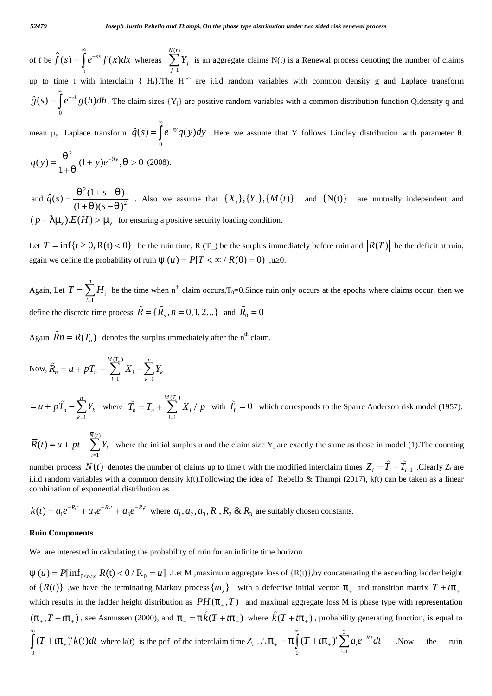of f be  $\hat{f}(s) = \int_{0}^{\infty} e^{-sx} f(x) dx$  whereas  $\sum_{j=1}^{N(t)} Y_j$  is an a Joseph Justin Rebello and Thampi, On the phase type distri<br>  $\hat{f}(s) = \int_{0}^{\infty} e^{-sx} f(x) dx$  whereas  $\sum_{j=1}^{N(t)} Y_j$  is an aggregate claims<br>
time t with interclaim { H<sub>i</sub>}.The H<sub>i</sub><sup>s</sup> are i.i.d random vari<br>  $\int_{0}^{\infty} e^{-sh} g(h)$  $=\int e^{-sx} f(x) dx$  whereas  $\sum_i Y_i$  is an aggregate *d Thampi, On the phase*<br> $\sum_{j=1}^{(t)} Y_j$  is an aggregariently  $H_i$ <sup>,s</sup> are i.i.d range 1 *M (t)*<br>*N (t)*<br> $\sum_{j=1}^{N(t)} Y_j$  is an aggr<br>*N i* <sup>1</sup> *s* are i.i.d *j* is an aggrega *j*  $\sum_{j=1}^{n} Y_j$  is an aggregate claims N(t) is a Renewal process denoting the number of claims up to time t with interclaim  ${H_i}$ . The  $H_i^{\prime s}$  are i.i.d random variables with common density g and Laplace transform 52479 **Source 10 Joseph Justin Rebello and Thampi, On the phase type dis**<br>
of f be  $\hat{f}(s) = \int_{0}^{\infty} e^{-sx} f(x) dx$  whereas  $\sum_{j=1}^{N(t)} Y_j$  is an aggregate clain<br>
up to time t with interclaim { H<sub>i</sub>}. The H<sub>i</sub><sup>s</sup> are i.i.d  $\infty$  $=\int e^{-sh}g(h)dh$ . The claim sizes  $\{Y_j\}$  are positive random variables with a common distribution function Q,density q and *stin Rebello and Thampi, On the phase type distribution under two sided risk*<br>
whereas  $\sum_{j=1}^{N(t)} Y_j$  is an aggregate claims N(t) is a Renewal pro<br>
1 { H<sub>i</sub>}. The H<sub>i</sub><sup>,s</sup> are i.i.d random variables with common laim siz Arty<br>  $\int \cos(\theta) f \sin(\theta) d\theta$ <br>  $\int \cos(\theta) f(\theta) d\theta = \int_{0}^{\infty} e^{-sx} f(x) dx$  whereas  $\sum_{j=1}^{N(t)} Y_j$  is an aggregate claims N(t) is intervals to to time twith interclaint { H<sub>1</sub>}. The H<sub>1</sub><sup>s</sup> are i.i.d random variables with  $S = \int_{0}^{\infty$ *yoseph Justin Rebello and Thampi, On the phase type distribution*<br>
of f be  $\hat{f}(s) = \int_{0}^{\infty} e^{-sx} f(x) dx$  whereas  $\sum_{j=1}^{N(t)} Y_j$  is an aggregate claims N(t)<br>
up to time t with interclaim { H<sub>i</sub>}. The H<sub>i</sub><sup>15</sup> are i.i.d ra Joseph Justin Rebello and Thampi, On the phase type distribution under two sided risk renewal process<br>  $\hat{f}(s) = \int_{0}^{\infty} e^{-sx} f(x) dx$  whereas  $\sum_{j=1}^{N(t)} Y_j$  is an aggregate claims N(t) is a Renewal process denoting the num Joseph Justin Rebello and Thampi, On the p<br>  $\hat{f}(s) = \int_{0}^{\infty} e^{-sx} f(x) dx$  whereas  $\sum_{j=1}^{N(t)} Y_j$  is an agge<br>
time t with interclaim { H<sub>i</sub>}. The H<sub>i</sub><sup>s</sup> are i.i.d<br>  $= \int_{0}^{\infty} e^{-sh} g(h) dh$ . The claim sizes {Y<sub>j</sub>} are positiv Joseph Justin Rebello and Thampi, On the p<br>  $\int_0^{\infty} e^{-sx} f(x) dx$  whereas  $\sum_{j=1}^{N(t)} Y_j$  is an agging<br>
t with interclaim { H<sub>i</sub>}. The H<sub>i</sub><sup>,s</sup> are i.i.d<br>  $\int_0^h g(h) dh$ . The claim sizes {Y<sub>j</sub>} are positive<br>
place transform *Joseph Justin Rebello and*<br>  $\int_0^{\infty} \hat{f}(s) = \int_0^{\infty} e^{-sx} f(x) dx$  whereas  $\sum_{j=1}^{N(t)} f(x) dx$  whereas<br>  $\int_0^{\infty} \hat{f}(s) = \int_0^{\infty} e^{-sh} g(h) dh$ . The claim sizes  $\{Y_j\}$ <br>  $\mu_y$ . Laplace transform  $\hat{q}(s) = \int_0^{\infty} e^{-sy}$ <br>  $\int_0^$ *Soseph Justin Rebello and Thampi, On the phase type distribution*<br>  $\int_{0}^{\infty} e^{-sx} f(x) dx$  whereas  $\sum_{j=1}^{N(t)} Y_j$  is an aggregate claims N(<br>
with interclaim { H<sub>1</sub>}. The H<sub>1</sub><sup>,\*</sup> are i.i.d random variable<br>  $g(h)dh$ . The clai *Joseph Justin Rebello and Thampi, On the phase type distribution under two sided risk renewal process<br>*  $e^{-sx} f(x) dx$  *whereas*  $\sum_{j=1}^{N(t)} Y_j$  *is an aggregate claims N(t) is a Renewal process denoting the numb<br>
th interclaim* Joseph Justin Rebello and Thampi, On the phase type distribution under two sided risk renewal process<br>  $\int_{0}^{\infty} e^{-xt} f(x) dx$  whereas  $\sum_{j=1}^{N(t)} Y_j$  is an aggregate claims N(t) is a Renewal process denoting the numb<br>
with tin Rebello and Thampi, On the phase type distribution under two sided risk renewal process<br>whereas  $\sum_{j=1}^{N(t)} Y_j$  is an aggregate claims  $N(t)$  is a Renewal process denoting the number of claims<br>{  $H_1$ }.The  $H_1^{*A}$  ar 52479 Joseph Justin Rebello and Tham,<br>
(
f f be  $\hat{f}(s) = \int_{0}^{\infty} e^{-sx} f(x) dx$  whereas  $\sum_{j=1}^{N(t)} Y_j$ <br>
(
up to time t with interclaim { H<sub>1</sub>}. The H<sub>1</sub><sup>s</sup><br>  $\hat{g}(s) = \int_{0}^{\infty} e^{-sh} g(h) dh$ . The claim sizes {Y<sub>1</sub>} are<br>
mean  $\mu$ *x y p E H*  for ensuring a positive security loading condition. S209<br>
Let  $\hat{f}(s) = \int_{0}^{s} e^{-st} f(x) dx$  whereas  $\sum_{j=1}^{N(x)} Y_j$  is an aggregate claims N(t) is a Renewal process denoting the number of chains<br>
of I be  $\hat{f}(s) = \int_{0}^{s} e^{-st} f(x) dx$  whereas  $\sum_{j=1}^{N(x)} Y_j$  is an aggregate claim **S279** *Inseph Instin Robells and Thampt, On the phase type distribution under two sided risk renewal process<br>
of f lve*  $\hat{f}(s) = \int_{0}^{\infty} e^{-sx} f(x) dx$  *whereas*  $\sum_{j=1}^{N} Y_j$  *is an aggregate claims N(c) is a Renewal process*  $\int_{0}^{\infty} \int_{0}^{\infty} e^{-sx} f(x) dx$  whereas  $\sum_{j=1}^{N(t)} Y_j$  is an aggregate claims N(t) is a Renew<br> *T* with interclaim { H<sub>1</sub>}.The H<sub>1</sub><sup>3</sup> are i.i.d random variables with com<br> *T*<sup>-sh</sup> *g*(*h*)*dh*. The claim sizes { Y<sub>1</sub>} ar of the  $f(s) = \int_{0}^{1} e^{-st} f(x) dx$  whereas  $\sum_{j=1}^{n} Y_j$  is an aggregate claims N(t) is a Renewal process denoting the number of claims<br>up to time t with interclaim (H<sub>1</sub>).The H<sub>1</sub><sup>2</sup> are i.i.d random variables with common de *Inspired boths to the Boths of Theory, Or the phase type distribution under no sided risk research process<br>*  $\hat{f}(s) = \int_0^s e^{s\alpha} f(s) ds$  *whereas*  $\sum_{i=1}^m Y_i$  *is an aggregate claims N(t) is a Recoveral process denoting the* 

mean  $\mu_y$ . Laplace transform  $\hat{q}(s) = |e^{-s} \rangle$  $\infty$  $=\int e^{-sy} q(y) dy$  .Here we assume that Y follows Lindley distribution with parameter . 2

$$
q(y) = \frac{1}{1 + y} (1 + y)e^{-y}, \quad y > 0 \tag{2008}.
$$

and  $\hat{q}(s) =$  $^{2}(1 + a)^{2}$  $2 \cdot \text{1--}$   $\text{1--}$   $\text{2--}$   $\text{2--}$   $\text{2--}$   $\text{2--}$   $\text{2--}$  $=\frac{\pi^2(1+s+n)}{1+(s+n+1)^2}$ . Also we assume that  $\{X_i\}$  $\hat{g}(s) = \int_{0}^{s} e^{-sh} g(h) dh$ . The claim sizes  $\{Y_{j}\}$  are positive random va<br>
mean  $\mu_{y}$ . Laplace transform  $\hat{q}(s) = \int_{0}^{\infty} e^{-sy} q(y) dy$ . Here we assu<br>  $q(y) = \frac{s^{2}}{1+s} (1+y)e^{-y}, s > 0$  (2008).<br>
and  $\hat{q}(s) = \frac{s^{2}(1+s+s)}{(1+s)(s+s)^$ *R<sub>P</sub>*. Laplace transform  $\hat{q}(s) = \int_{0}^{s} e^{-sy} q(y) dy$ . Here we assume that Y follows  $= \frac{e^{2}}{1 + e^{2}} (1 + y)e^{-y}, e > 0$  (2008).<br>  $\hat{r}(s) = \frac{e^{2}(1 + s + e)}{(1 + e)(s + e)^{2}}$ . Also we assume that  $\{X_{i}\}, \{Y_{j}\}, \{M(t)\}$  and  $\{\sum_{i=1}^{n} \sum$ *y*)  $-\frac{1}{1+x}(x+y)e^{-x}$ ,  $y > 0$  (2006).<br> *u d*  $\hat{q}(s) = \frac{x^2(1+s+s)}{(1+s)(s+s)^2}$ . Also we assume that  $\{X_i\}, \{Y_j\}$ ,<br>  $p+1 > x$ ,  $E(H) > -y$  for ensuring a positive security loading cone<br> *u*  $T = \inf\{t \ge 0, R(t) < 0\}$  be the ruin ti  $q(y) = \frac{x^2}{1+x}(1+y)e^{-x^2}$ ,  $x > 0$  (2008).<br>
and  $\hat{q}(s) = \frac{x^2(1+s+x)}{(1+x)(s+x)^2}$ . Also we assume that  $\{X_i\}, \{Y_j\}, \{M(t)\}$  and  $\{N(t)\}$  are mutually interpretently  $(p+)-y.E(H) > -y$  for ensuring a positive security loading condition Also we assume that  $\{X_i\}, \{Y_j\}, \{M(t)\}\$  and  $\{N(t)\}\$ <br>
ensuring a positive security loading condition.<br> *T* be the ruin time, R (T\_) be the surplus immediately before ruin an<br> *T* of ruin  $\mathbb{E}(u) = P[T < \infty / R(0) = 0)$ , a 0.<br> > 0 (2008).<br>
∴ Also we assume that {*X<sub>i</sub>*},{*Y<sub>j</sub>*},{*M*(*t*)} and {N(t)} are mutually independent and<br>
ensuring a positive security loading condition.<br>
be the ruin time, R (T<sub>2</sub>) be the surplus immediately before ruin  $\hat{f}(s) = \frac{s^2(1+s+s)}{(1+s)(s+s+s)^2}$ . Also we assume that  $\{X_i\}_i\{Y_j\}_i\{M(t)\}$  and  $\{N(t)\}$  are mutually independent and  $\} -_2)E(H) > -_2$  for ensuring a positive security loading condition.<br>  $= \inf\{t \ge 0, R(t) < 0\}$  be the min

Again, Let  $T =$ 1 *n*  $i<sup>i</sup>$  be the time w  $=\sum_{i=1} H_i$  be the time when n<sup>th</sup> claim occurs,T<sub>0</sub>=0.Since ruin only occurs at the epochs where claims occur, then we define the discrete time process  $\tilde{R} = {\tilde{R}_n, n = 0, 1, 2...}$  and  $\tilde{R}_0 = 0$ for ensuring a posit<br>  $<$  0} be the ruin tir<br>
to the ruin (E (*u*) =<br>
be the time when n<sup>th</sup><br>
rocess  $\tilde{R} = {\{\tilde{R}_n, n = \text{notesize}}$ <br>
rocess  $\tilde{R} = {\{\tilde{R}_n, n = \text{notesize}}$ <br>  $\sum_{k=1}^{(\text{T}_n)} X_i - \sum_{k=1}^n Y_k$ = inf{ $t \ge 0$ , R(t) < 0} be the ruin time, R (T\_) be the surplus<br>  $\hat{H} = \inf\{t \ge 0, R(t) < 0\}$  be the ruin time, R (T\_) be the surplus<br>  $\hat{H} = \sum_{i=1}^{n} H_i$  be the time when  $n^{\text{th}}$  claim occurs,  $T_0 = 0$ . Since<br>
the di 2 0, R(t) < 0} be the ruin time, R (T\_) be<br>
the probability of ruin  $\mathbb{E}(u) = P[T < \infty / \sum_{i=1}^{n} H_i$  be the time when n<sup>th</sup> claim occurs,<br>
te time process  $\tilde{R} = {\tilde{R}_n, n = 0, 1, 2...}$  a<br>  $(T_n)$  denotes the surplus immediate *n*  $T = \sum_{i=1}^{n} H_i$  be the time when n<br>
discrete time process  $\tilde{R} = {\{\tilde{R}_n, R\}}$ <br>  $n = R(T_n)$  denotes the surplus in<br>  $n = u + pT_n + \sum_{i=1}^{M(T_n)} X_i - \sum_{k=1}^{n} Y_k$ <br>  $\tilde{r}_n = \sum_{k=1}^{n} Y_k$  where  $\tilde{T}_n = T_n + \sum_{i=1}^{M(T_n)} Y_i$ <br>  $n + pt - \$  $u$ ) =  $P[T < \infty / R($ <br>
n<sup>th</sup> claim occurs, T<sub>0</sub>= $n = 0, 1, 2...$ } and<br>
mmediately after the<br>
mmediately after the<br>  $\sum_{i=1}^{(T_n)} X_i / p$  with  $\tilde{T}_0$ of ruin ( $\mathbf{F}(u) = P[T < \infty / R(0) = 0)$ ,  $\mathbf{u}$  (<br>time when n<sup>th</sup> claim occurs,  $T_0=0$ . Since ruin<br> $\tilde{R} = {\tilde{R}_n, n = 0, 1, 2...}$  and  $\tilde{R}_0 = 0$ <br>he surplus immediately after the n<sup>th</sup> claim.<br> $\sum_{i=1}^{n} Y_k$ <br> $\tilde{R}_n = T_n + \sum_{$  $(1 + _{n})(s + _{n})^{2}$ <br>  $(1 + _{n})(s + _{n})^{2}$ <br>  $(1 + _{n})(s + _{n})^{2}$  for ensuri<br>  $t T = inf\{t \ge 0, R(t) < 0\}$  be t<br>
sain we define the probability of ru<br>
sain, Let  $T = \sum_{i=1}^{n} H_{i}$  be the time<br>
fine the discrete time process  $\tilde{R} =$ <br> *R* (*P* + *)*  $f(x)$  (*P* + *n*) *R* for ensuring a positive security loading condition<br>
Let  $T = \inf\{t \ge 0, R(t) < 0\}$  be the ruin time,  $R(T_1)$  be the surplus im<br>
gigain we define the probability of ruin  $\mathbb{E}(u) = P(T < \infty / R($  $(p+)-z_+$ ,  $E(H) > -z_+$ , for ensuring a positive security loading condition.<br>Let  $T = \inf\{t \ge 0, R(t) < 0\}$  be the ruin time,  $R(T_+)$  be the surplus immediately before ruin and  $\left|RT\right|$  be the deficit at ruin,<br>again we define t again we define the probability of rain  $(\mathbf{E}(u) = P(T < \infty / R(0) = 0)$ ,  $\mu$  0.<br>
Again, Let  $T = \sum_{i=1}^{n} H_i$ , be the time when  $n^{\mu}$  claim occurs. T<sub>n</sub>=0.8 ince ruin only occurs at the epochs where chains occur, then we<br>

Again  $\widetilde{R}n = R(T_n)$  denotes the surplus immediately after the n<sup>th</sup> claim.

Now, 
$$
\tilde{R}_n = u + pT_n + \sum_{i=1}^{M(T_n)} X_i - \sum_{k=1}^{n} Y_k
$$

*n*  $k=1$ 1 *i*=1  $\tilde{L} = 0$  which corresponds to the ime process  $\tilde{R} = {\{\tilde{R}_n, n = 0, 1, 2...\}}$  and  $\tilde{R}_0 = 0$ <br>  $\tilde{R}_n + \sum_{i=1}^{M(T_n)} X_i - \sum_{k=1}^{n} Y_k$ <br>  $Y_k$  where  $\tilde{T}_n = T_n + \sum_{i=1}^{M(T_n)} X_i / p$  with  $\tilde{T}_0 = 0$  which corresponds to the Sparre Anderson risk model (1957).<br>  $\sum$ 

1 and 1 and 1 and 1 and 1 and 1 and 1 and 1 and 1 and 1 and 1 and 1 and 1 and 1 and 1 and 1 and 1 and 1 and 1  $i$  where the  $\mathbf{m}$ *i*=1

i.i.d random variables with a common density k(t).Following the idea of Rebello & Thampi (2017), k(t) can be taken as a linear

$$
k(t) = a_1 e^{-R_1 t} + a_2 e^{-R_2 t} + a_3 e^{-R_3 t}
$$
 where  $a_1, a_2, a_3, R_1, R_2 \& R_3$  are suitably chosen constants

### **Ruin Components**

We are interested in calculating the probability of ruin for an infinite time horizon

Again  $\tilde{R}n = R(T_n)$  denotes the surplus immediately after the n<sup>3</sup> claim.<br>
Now,  $\tilde{R}_e = u + pT_n + \sum_{i=1}^{H(T_n)} X_i - \sum_{i=1}^{H} Y_i$ <br>  $= u + p\tilde{T}_n - \sum_{i=1}^{H(T_n)} Y_i$  where  $\tilde{T}_n = T_n + \sum_{i=1}^{H(T)} X_i / p$  with  $\tilde{T}_0 = 0$  which correspond Now,  $\tilde{R}_n = u + pT_n + \sum_{i=1}^{M(T_n)} X_i - \sum_{k=1}^{n} Y_k$ <br>  $= u + p\tilde{T}_n - \sum_{i=1}^{n} Y_k$  where  $\tilde{T}_n = T_n + \sum_{i=1}^{M(T_n)} X_i / p$  with  $\tilde{T}_0 = 0$  which corresponds to the Sparre An  $\overline{R}(t) = u + pt - \sum_{i=1}^{M(T_n)} Y_i$  where the initial surplus u of  $\{R(t)\}\$ , we have the terminating Markov process  $\{m_x\}$  with a defective initial vector  $f_+$  and transition matrix  $T + tf_+$ Figure 2.1 The counting<br>those in model (1). The counting<br>as  $Z_i = \tilde{T}_i - \tilde{T}_{i-1}$ . Clearly  $Z_i$  are<br>7), k(t) can be taken as a linear<br>7), k(t) can be taken as a linear<br>ting the ascending ladder height<br>and transition matri Now,  $\tilde{R}_n = u + pT_n + \sum_{i=1}^{M(T_1)} X_i - \sum_{i=1}^{n} Y_k$ <br>  $= u + p\tilde{T}_n - \sum_{i=1}^{n} Y_i$  where  $\overline{T}_n = T_n + \sum_{i=1}^{M(T_1)} X_i / p$  with  $\tilde{T}_0 = 0$  which corresponds to the Sparre Anderson r<br>  $\overline{R}(t) = u + pT - \sum_{i=1}^{M(T_2)} Y_i$  where the initi which results in the ladder height distribution as  $PH(f_{+},T)$  and maximal aggregate loss M is phase type with representation Now,  $\vec{R}_s = u + pT_s + \sum_{i=1}^{n} X_i - \sum_{i=1}^{n} Y_i$ <br>  $= u + pT_s - \sum_{i=1}^{n} Y_i$  where  $\vec{T}_s = T_s + \sum_{i=1}^{M(T_s)} X_i / p$  with  $\vec{T}_0 = 0$  which corresponds to the Sparre Anderson risk model (1957).<br>  $\vec{R}(t) = u + pt - \sum_{i=1}^{D(T_s)} Y_i$  where the in  $(f_+, T + tf_+)$ , see Asmussen (2000), and  $f_+ = f\hat{k}(T + tf_+)$  where  $\hat{k}(T + tf_+)$ , probability generating function, is equal to 0  $u + p\tilde{T}_n - \sum_{k=1}^n Y_k$  where  $\tilde{T}_n = T_n + \sum_{i=1}^{n(t_n)} X_i / p$  with  $\tilde{T}_n$ <br>  $\tilde{T}_n(t) = u + pt - \sum_{i=1}^{\overline{N}(t)} Y_i$  where the initial surplus u and the mmber process  $\overline{N}(t)$  denotes the number of claims up to tive differences  $\infty$  $\int_0^{\infty} (T + tf_+)^t k(t) dt$  where k(t) is the pdf of the interclaim time  $Z_i$  .  $\therefore f_+ = f \int_0^{\infty} (T + tf_+)^t \sum_{n=1}^3 a_i e^{-R_i t} dt$  . Now the  $i=1$ ponds to the Sparre Anderson risk model<br>
ctly the same as those in model (1).The c<br>
ed interclaim times  $Z_i = \tilde{T}_i - \tilde{T}_{i-1}$ .Clearl<br>
o & Thampi (2017), k(t) can be taken as<br>
hosen constants.<br>
hosen constants.<br>
1<br>
1<br>
1<br>
(  $i^c$  *at*  $\alpha$ *i*=1 *x*<sub>1</sub> are exactly the same as those in model (1).The counting<br>*Y*<sub>1</sub> are exactly the same as those in model (1).The counting<br>the modified interclaim times  $Z_i = \tilde{T}_i - \tilde{T}_{i-1}$ .Clearly *Z*<sub>4</sub> are<br>of Rebello & Thampi (201 itably chosen constants.<br>
therefore the ascending ladder height<br>
so of {R(t)}, by concatenating the ascending ladder height<br>
ective initial vector  $f_+$  and transition matrix  $T + tf_+$ <br>
final aggregate loss M is phase type which corresponds to the Sparre Anderson risk model (1957).<br>
2e Y<sub>i</sub> are exactly the same as those in model (1).The counting<br>
the modified interclaim times  $Z_i = \tilde{T}_i - \tilde{T}_{i-1}$ . Clearly  $Z_i$  are<br>
and of Rebello & Thampi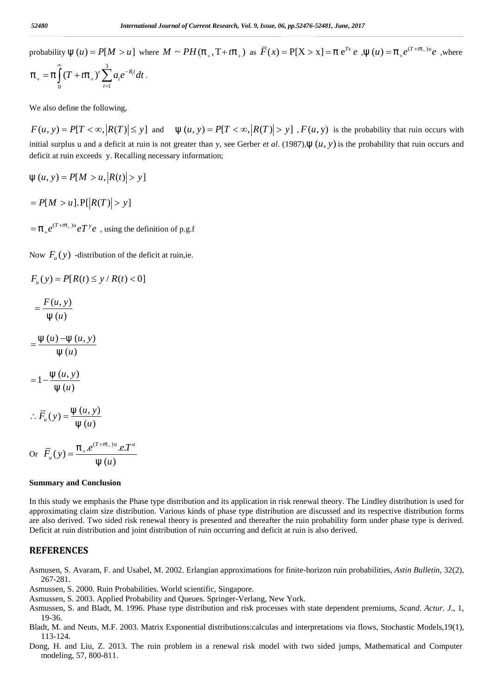*s2480<br>
International Journal of Current Research, Vol. 9, Issue, 06, pp.52476-52481, June, 2017*<br>
probability  $\mathbb{E}(u) = P[M > u]$  where  $M \sim PH(f_+, T + tf_+)$  as  $\overline{F}(x) = P[X > x] = f e^{Tx} e$ ,  $\mathbb{E}(u) = f_+ e^{(T + tf_+)u} e$ , where<br>  $f_+ = f \int_$  $u = f_{+}e^{(T + tf_{+})u}e$ , where <sup>7</sup><br> **If**  $(u) = f_{+}e^{(T + tf_{+})u}e$ , where probability  $\mathbb{E}(u) = P[M > u]$  where  $M \sim PH(f_{+}, T + tf_{+})$  as  $\overline{F}(x) = P[X > x] = f e^{Tx} e$ ,  $\mathbb{E}(u) = f_{+}e^{(T + tf_{+})u} e$ , where 3 International Journal of Cursum<br>
y  $\mathbb{E}(u) = P[M > u]$  where  $M \sim PH$ <br>  $(T + tf_+)^t \sum_{i=1}^3 a_i e^{-R_i t} dt$ .<br>
efine the following,<br>  $= P[T < \infty, |R(T)| \le y]$  and  $\mathbb{E}(u, y)$ <br>
blus u and a deficit at ruin is not greater to  $i^c$   $u^i$ . 52480 **International Journal of Current Research, Vol. 9.**<br>
probability  $E(u) = P[M > u]$  where  $M \sim PH(f_+, T + tf_+)$  as<br>  $f_+ = f \int_0^{\infty} (T + tf_+) \sum_{i=1}^3 a_i e^{-R_i t} dt$ .<br>
We also define the following,<br>  $F(u, y) = P[T < \infty, |R(T)| \le y]$  and  $E(u, y) = P[T <$  $-R_i t$   $\mathbf{J}_i$ 2480 International Journal of Current Research, Vol. 9, Issue.<br>
obability  $E(u) = P[M > u]$  where  $M \sim PH(f_+, T + tf_+)$  as  $\overline{F}(x)$ <br>  $+ = f \int_{0}^{\infty} (T + tf_+)^t \sum_{i=1}^{3} a_i e^{-R_i t} dt$ .<br>
ie also define the following, 52480 International Journal of Current Research, Vol. 9, Issue, 06, pp.52476-52481, June, 2017<br>
probability  $\mathbb{E}(u) = P[M > u]$  where  $M \sim PH(f_+, T + tf_+)$  as  $\overline{F}(x) = P[X > x] = f e^{Tx} e$ ,  $\mathbb{E}(u) = f_+ e^{(T + tf_+)u} e$ <br>  $f_+ = f \int_0^{\infty} (T + tf_$ 

*F2480*<br> *For terms in and of Current Research, Vol. 9, Issue, 06, pp.52476-52481, June, 2017*<br> *F*  $f_* = f \int_0^{\infty} (T + tf_*)^r \sum_{i=1}^8 a_i e^{-R_i t} dt$ .<br> *F*  $f_* = f \int_0^{\infty} (T + tf_*)^r \sum_{i=1}^8 a_i e^{-R_i t} dt$ .<br> *F* (*u, y)* =  $P[T < \infty, [R(T)] \le$ 52480<br> **probability (E** (*u*) =  $P[M > u]$  where  $M \sim PH(f_+, T + tf_+)$  as  $\overline{F}(x) = P[X > x] = f e^{Tx} e$ , (E (*u*) =  $f_* e^{(T + tf_+)^{2\theta}} e$ , where<br>  $f_* = f \int_0^x (T + tf_+) \sum_{i=1}^{\infty} a_i e^{-R_i t} dt$ .<br>
We also define the following,<br>  $F(u, y) = P[T < \infty, |R(T)| \le$ deficit at ruin exceeds y. Recalling necessary information; 52480<br>
International Journal of Current Research, Vol. 9, Issue, 06, pp.52476-52481, June, 2017<br>
probability  $\mathbb{E}(u) = P[M > u]$  where  $M \sim P H(f_+, T + tf_+)$  as  $\overline{F}(x) = P[X > x] = f e^{Tt} e$ .  $\mathbb{E}(u) = f_+ e^{(T + tf_+)x} e$ ,  $\int_0^{\infty} (T + tf_+) \$  *P M u R T y* [ ].P[ ( ) ] Hotel *Thermational Journal of Current Researc*<br>
bability  $\mathbb{E}(u) = P[M > u]$  where  $M \sim PH(f_+, T+t)$ <br>  $\underset{\sim}{=} f \int_{0}^{\infty} (T + tf_+) \sum_{i=1}^{s} a_i e^{-R_i t} dt$ .<br>
e also define the following,<br>  $(u, y) = P[T < \infty, |R(T)| \le y]$  and  $\mathbb{E}(u, y) = P[T$ <br>
tita 52480<br>
Frobability  $E(u) = P[M > u]$  where  $M \sim PH(j)$ <br>
Frobability  $E(u) = P[M > u]$  where  $M \sim PH(j)$ <br>  $f_{+} = f \int_{0}^{\infty} (T + tf_{+})' \sum_{i=1}^{3} a_i e^{-R_i t} dt$ .<br>
We also define the following,<br>  $F(u, y) = P[T < \infty, |R(T)| \le y]$  and  $E(u, y)$ <br>
initial surplus u *International Journal of Current Research, Vol.9, Issue. 06, pp.52476-5284. Items, 2017*<br>
probability  $\oint (f(x) - P|M > uI)$  where:  $M \sim PH(f_+, T + tf_+)$  as  $\overline{F}(x) = P[X > x] = f e^{iY} e$ ,  $\oint (u) = f_+ e^{iT + tf_-, y} e$ ,  $v$ <br>  $f_+ = f \int_0^x (T + tf_-)^t \sum_{$  $f \int_{0}^{\infty} (T + tf_{+})' \sum_{i=1}^{3} a_{i}e^{-R_{i}t} dt$ .<br>
so define the following,<br>  $y) = P[T < \infty, |R(T)| \le y]$  and<br>
surplus u and a deficit at ruin is not<br>
at ruin exceeds y. Recalling necessar<br>  $y) = P[M > u, |R(t)| > y]$ <br>  $M > u$ ].  $P[|R(T)| > y]$ <br>  $y^{$  $\int_{0}^{1} (T + tf_{+})^{t} \sum_{i=1}^{t} a_{i}e^{-\kappa_{i}t} dt$ .<br>
define the following,<br>  $y) = P[T < \infty, |R(T)| \le y]$  and<br>
arplus u and a deficit at ruin is no<br>  $y = P[M > u, |R(t)| > y]$ <br>  $I > u$ ].  $P[|R(T)| > y]$ <br>  $T^{+tf_{+})u}eT^{y}e$ , using the definition<br>  $\int_{u}($  $f = f \int_{0}^{\infty} (T + tf_{+})' \sum_{i=1}^{3} a_i e^{-R_i t} dt$ .<br>
also define the following,<br>  $u, y) = P[T < \infty, |R(T)| \le y]$  and  $E(u, y)$ <br>
al surplus u and a deficit at ruin is not greater that<br>  $u, y) = P[M > u, |R(t)| > y]$ <br>  $f[M > u] \cdot P[|R(T)| > y]$ <br>  $f^{(T + tf_{+})u} eT^$ lso define the following,<br>  $y$ ) =  $P[T < \infty, |R(T)| \le y]$  and  $\mathbb{E}(u, \cdot)$ <br>
it at ruin exceeds y. Recalling necessary infor<br>  $y$ ) =  $P[M > u, |R(t)| > y]$ <br>  $[M > u] \cdot P[|R(T)| > y]$ <br>  $e^{(T + tf_+)u} eT^y e$ , using the definition of p.g.f<br>  $F_u(y)$  -d Fine the following,<br>  $P[T < \infty, |R(T)| \le y]$  and d<br>
lus u and a deficit at ruin is not grain exceeds y. Recalling necessary<br>  $P[M > u, |R(t)| > y]$ <br>  $u].P[|R(T)| > y]$ <br>  $u'.P[T' \cdot e$ , using the definition of<br>  $v)$  -distribution of the deficit so define the following,<br> *y*) =  $P[T < \infty, |R(T)| \le y]$  and (E(*u*, *y*) =  $P[T$ <br>
surplus u and a deficit at ruin is not greater than *y*, stat ruin exceeds *y*. Recalling necessary information;<br> *y*) =  $P[M > u, |R(t)| > y]$ <br>  $M > u$ ]. **c** also define the following,<br>  $(u, y) = P[T < \infty, |R(T)| \le y]$  and  $E(u, y) = P[T < \infty, |R(T)| >$ <br>
tial surplus u and a deficit at ruin is not greater than y, see Gerber *et al.*<br>
ficit at ruin exceeds y. Recalling necessary information;<br> (*u*, *y*) =  $I_1I \sim \infty$ ,  $|A(I)| \ge y$  and  $\cup$  (*u*,<br>tial surplus u and a deficit at ruin is not greater<br>ficit at ruin exceeds y. Recalling necessary info<br>(*u*, *y*) =  $P[M > u, |R(t)| > y]$ <br> $P[M > u] \cdot P[|R(T)| > y]$ <br> $f_*e^{(T+tf_*)u}eT^y e$ , blus u and a denote at ruin is not g<br>
uin exceeds y. Recalling necessary<br>  $= P[M > u, |R(t)| > y]$ <br>  $\geq u$ ].  $P[|R(T)| > y]$ <br>  $\leq u$ ].  $P[|R(T)| > y]$ <br>  $\leq u$   $\leq v$   $\leq v$   $\leq v$ <br>  $\leq v$   $\leq v$ <br>  $\leq v$ <br>  $\leq v$ <br>  $\leq v$ <br>  $\leq v$ <br>  $\leq v$ <br>  $\$  $\begin{aligned}\n&= I \left[ I \times \infty, |K(I)| \le y \right] \text{ and } \mathcal{L}(u, y) = \n\end{aligned}$ <br>
plus u and a deficit at ruin is not greater than<br>  $= P\left[ M > u, |R(t)| > y \right]$ <br>  $> u \left[ . P\left[ |R(T)| > y \right] \right]$ <br>  $\rightarrow u \left[ . P\left[ R(T) \right] > y \right]$ <br>  $\rightarrow u' + \rightarrow u' e T^{\gamma} e$ , using the definition F(u, y) = P[T <  $\infty$ ,  $|R(T)| \le y$ ] and (E (u, y) = P[T <  $\infty$ ,  $|R(T)| > y$ ], F(u, y) is the pinial surplus u and a deficit at ruin is not greater than y, see Gerber et al. (1987),(E (u, y) is the perfection at ruin exceeds y

 $=f_{+}e^{(T+tf_{+})u}eT^{\gamma}e$  , using the definition of p.g.f

 $i=1$ 

*i*=1

Now  $F_u(y)$  -distribution of the deficit at ruin,ie.

$$
F_u(y) = P[R(t) \le y / R(t) < 0]
$$

$$
=\frac{F(u, y)}{\mathbb{E}(u)}
$$

 $\mathbb{E}(u)$  $=\frac{\mathbb{E}(u)-\mathbb{E}(u, y)}{\pi}$ 

$$
=1-\frac{\mathrm{d}E(u, y)}{\mathrm{d}E(u)}
$$

$$
\therefore \overline{F}_u(y) = \frac{\mathbb{E}(u, y)}{\mathbb{E}(u)}
$$

E (u, y) = P[M > u, |R(t)| > y]  
\n= P[M > u].P[|R(T)| > y]  
\n= 
$$
f_{+}e^{(T+tf_{+})u}eT^y e
$$
, using the definition of p.g.f  
\nNow  $F_u(y)$ -distribution of the deficit at ruin,  
\n $F_u(y) = P[R(t) \le y/R(t) < 0]$   
\n $= \frac{F(u, y)}{E(u)}$   
\n $= \frac{E(u) - E(u, y)}{E(u)}$   
\n $= 1 - \frac{E(u, y)}{E(u)}$   
\n $\therefore \overline{F}_u(y) = \frac{E(u, y)}{E(u)}$   
\nOr  $\overline{F}_u(y) = \frac{f_{+}e^{(T+tf_{+})u}eT^u}{E(u)}$   
\nSummary and Conclusion

### **Summary and Conclusion**

 $(T+tf_+)u_eT^y e$ , using the definition of p.g.f<br>  $T^2(u(y))$  -distribution of the deficit at ruin,ie.<br>  $= P[R(t) \le y/R(t) < 0]$ <br>  $(u, y)$ <br>  $(u)$ <br>  $(t) - \frac{1}{2}(u, y)$ <br>  $\frac{1}{2}(u, y)$ <br>  $\frac{1}{2}(u, y)$ <br>  $y = \frac{1}{2}(u, y)$ <br>  $y = \frac{1}{2}(u, y)$ <br>  $y = \frac{1}{2$ using the definition of p.g.f<br>
ion of the deficit at ruin,ie.<br>  $\angle R(t) < 0$ ]<br>  $\angle R(t) < 0$ ]<br> **(***u*)<br> **asion**<br>
asis the Phase type distribution and<br>
sided risk renewal theory is prese<br>
tion and joint distribution of ruin of  $\mu^{2}$  *e*  $\mu^{2}$  *e*  $\mu^{2}$  *e*  $\mu^{2}$  *e*  $\mu^{2}$  *e*  $\mu^{2}$  *e*  $\mu^{2}$  *e*  $\mu^{2}$  *e*  $\mu^{2}$  *e*  $\mu^{2}$  *e*  $\mu^{2}$  *e*  $\mu^{2}$  *e*  $\mu^{2}$  *e*  $\mu^{2}$  *e*  $\mu^{2}$  *e*  $\mu^{2}$  *e*  $\mu^{2}$  *e*  $\mu^{2}$  *e*  $\mu^{2$ In this study we emphasis the Phase type distribution and its application in risk renewal theory. The Lindley distribution is used for approximating claim size distribution. Various kinds of phase type distribution are discussed and its respective distribution forms are also derived. Two sided risk renewal theory is presented and thereafter the ruin probability form under phase type is derived. Deficit at ruin distribution and joint distribution of ruin occurring and deficit at ruin is also derived.

# **REFERENCES**

Asmusen, S. Avaram, F. and Usabel, M. 2002. Erlangian approximations for finite-horizon ruin probabilities, *Astin Bulletin*, 32(2), 267-281.

Asmussen, S. 2000. Ruin Probabilities. World scientific, Singapore.

Asmussen, S. 2003. Applied Probability and Queues. Springer-Verlang, New York.

- Asmussen, S. and Bladt, M. 1996. Phase type distribution and risk processes with state dependent premiums, *Scand. Actur. J*., 1, 19-36.
- Bladt, M. and Neuts, M.F. 2003. Matrix Exponential distributions:calculas and interpretations via flows, Stochastic Models,19(1), 113-124.
- Dong, H. and Liu, Z. 2013. The ruin problem in a renewal risk model with two sided jumps, Mathematical and Computer modeling, 57, 800-811.